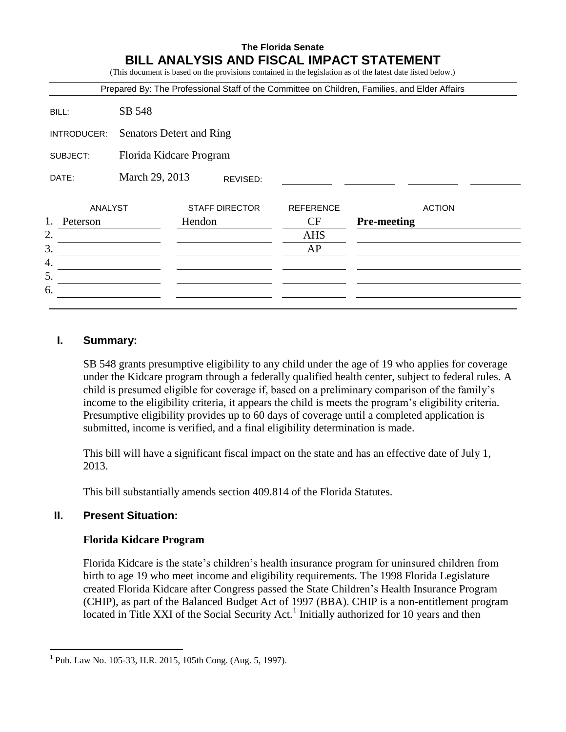## **The Florida Senate BILL ANALYSIS AND FISCAL IMPACT STATEMENT**

(This document is based on the provisions contained in the legislation as of the latest date listed below.)

| SB 548                   |                       |                                           |                                                                                               |
|--------------------------|-----------------------|-------------------------------------------|-----------------------------------------------------------------------------------------------|
| Senators Detert and Ring |                       |                                           |                                                                                               |
|                          |                       |                                           |                                                                                               |
|                          | REVISED:              |                                           |                                                                                               |
|                          | <b>STAFF DIRECTOR</b> | <b>REFERENCE</b>                          | <b>ACTION</b>                                                                                 |
|                          | Hendon                | CF                                        | <b>Pre-meeting</b>                                                                            |
|                          |                       | <b>AHS</b>                                |                                                                                               |
|                          |                       | AP                                        |                                                                                               |
|                          |                       |                                           |                                                                                               |
|                          |                       |                                           |                                                                                               |
|                          |                       |                                           |                                                                                               |
|                          | ANALYST               | Florida Kidcare Program<br>March 29, 2013 | Prepared By: The Professional Staff of the Committee on Children, Families, and Elder Affairs |

## **I. Summary:**

SB 548 grants presumptive eligibility to any child under the age of 19 who applies for coverage under the Kidcare program through a federally qualified health center, subject to federal rules. A child is presumed eligible for coverage if, based on a preliminary comparison of the family's income to the eligibility criteria, it appears the child is meets the program's eligibility criteria. Presumptive eligibility provides up to 60 days of coverage until a completed application is submitted, income is verified, and a final eligibility determination is made.

This bill will have a significant fiscal impact on the state and has an effective date of July 1, 2013.

This bill substantially amends section 409.814 of the Florida Statutes.

# **II. Present Situation:**

 $\overline{a}$ 

#### **Florida Kidcare Program**

Florida Kidcare is the state's children's health insurance program for uninsured children from birth to age 19 who meet income and eligibility requirements. The 1998 Florida Legislature created Florida Kidcare after Congress passed the State Children's Health Insurance Program (CHIP), as part of the Balanced Budget Act of 1997 (BBA). CHIP is a non-entitlement program located in Title XXI of the Social Security Act.<sup>1</sup> Initially authorized for 10 years and then

<sup>1</sup> Pub. Law No. 105-33, H.R. 2015, 105th Cong. (Aug. 5, 1997).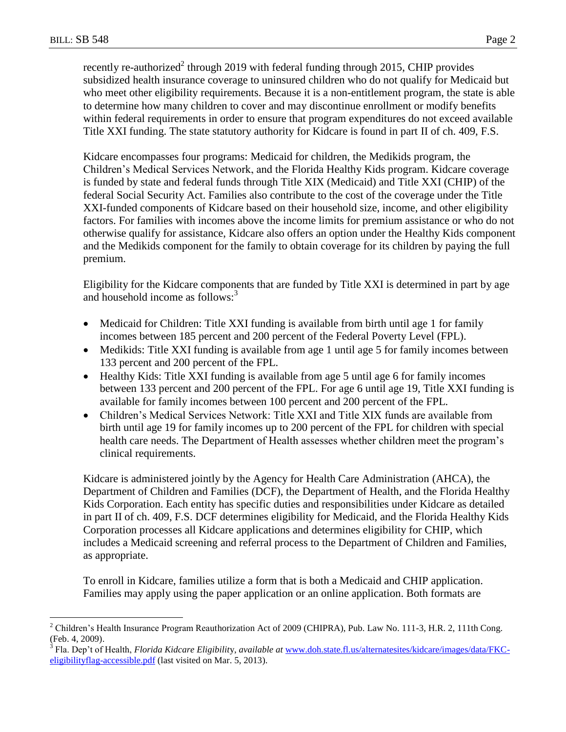$\overline{a}$ 

recently re-authorized<sup>2</sup> through 2019 with federal funding through 2015, CHIP provides subsidized health insurance coverage to uninsured children who do not qualify for Medicaid but who meet other eligibility requirements. Because it is a non-entitlement program, the state is able to determine how many children to cover and may discontinue enrollment or modify benefits within federal requirements in order to ensure that program expenditures do not exceed available Title XXI funding. The state statutory authority for Kidcare is found in part II of ch. 409, F.S.

Kidcare encompasses four programs: Medicaid for children, the Medikids program, the Children's Medical Services Network, and the Florida Healthy Kids program. Kidcare coverage is funded by state and federal funds through Title XIX (Medicaid) and Title XXI (CHIP) of the federal Social Security Act. Families also contribute to the cost of the coverage under the Title XXI-funded components of Kidcare based on their household size, income, and other eligibility factors. For families with incomes above the income limits for premium assistance or who do not otherwise qualify for assistance, Kidcare also offers an option under the Healthy Kids component and the Medikids component for the family to obtain coverage for its children by paying the full premium.

Eligibility for the Kidcare components that are funded by Title XXI is determined in part by age and household income as follows:<sup>3</sup>

- Medicaid for Children: Title XXI funding is available from birth until age 1 for family incomes between 185 percent and 200 percent of the Federal Poverty Level (FPL).
- Medikids: Title XXI funding is available from age 1 until age 5 for family incomes between 133 percent and 200 percent of the FPL.
- Healthy Kids: Title XXI funding is available from age 5 until age 6 for family incomes between 133 percent and 200 percent of the FPL. For age 6 until age 19, Title XXI funding is available for family incomes between 100 percent and 200 percent of the FPL.
- Children's Medical Services Network: Title XXI and Title XIX funds are available from birth until age 19 for family incomes up to 200 percent of the FPL for children with special health care needs. The Department of Health assesses whether children meet the program's clinical requirements.

Kidcare is administered jointly by the Agency for Health Care Administration (AHCA), the Department of Children and Families (DCF), the Department of Health, and the Florida Healthy Kids Corporation. Each entity has specific duties and responsibilities under Kidcare as detailed in part II of ch. 409, F.S. DCF determines eligibility for Medicaid, and the Florida Healthy Kids Corporation processes all Kidcare applications and determines eligibility for CHIP, which includes a Medicaid screening and referral process to the Department of Children and Families, as appropriate.

To enroll in Kidcare, families utilize a form that is both a Medicaid and CHIP application. Families may apply using the paper application or an online application. Both formats are

<sup>2</sup> Children's Health Insurance Program Reauthorization Act of 2009 (CHIPRA), Pub. Law No. 111-3, H.R. 2, 111th Cong. (Feb. 4, 2009).

<sup>3</sup> Fla. Dep't of Health, *Florida Kidcare Eligibilit*y, *available at* [www.doh.state.fl.us/alternatesites/kidcare/images/data/FKC](http://www.doh.state.fl.us/alternatesites/kidcare/images/data/FKC-eligibilityflag-accessible.pdf)[eligibilityflag-accessible.pdf](http://www.doh.state.fl.us/alternatesites/kidcare/images/data/FKC-eligibilityflag-accessible.pdf) (last visited on Mar. 5, 2013).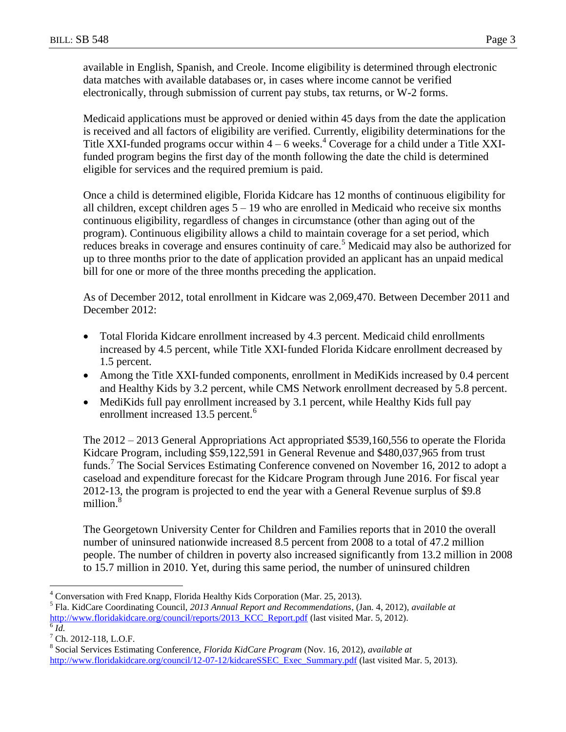available in English, Spanish, and Creole. Income eligibility is determined through electronic data matches with available databases or, in cases where income cannot be verified electronically, through submission of current pay stubs, tax returns, or W-2 forms.

Medicaid applications must be approved or denied within 45 days from the date the application is received and all factors of eligibility are verified. Currently, eligibility determinations for the Title XXI-funded programs occur within  $4 - 6$  weeks.<sup>4</sup> Coverage for a child under a Title XXIfunded program begins the first day of the month following the date the child is determined eligible for services and the required premium is paid.

Once a child is determined eligible, Florida Kidcare has 12 months of continuous eligibility for all children, except children ages  $5 - 19$  who are enrolled in Medicaid who receive six months continuous eligibility, regardless of changes in circumstance (other than aging out of the program). Continuous eligibility allows a child to maintain coverage for a set period, which reduces breaks in coverage and ensures continuity of care.<sup>5</sup> Medicaid may also be authorized for up to three months prior to the date of application provided an applicant has an unpaid medical bill for one or more of the three months preceding the application.

As of December 2012, total enrollment in Kidcare was 2,069,470. Between December 2011 and December 2012:

- Total Florida Kidcare enrollment increased by 4.3 percent. Medicaid child enrollments increased by 4.5 percent, while Title XXI-funded Florida Kidcare enrollment decreased by 1.5 percent.
- Among the Title XXI-funded components, enrollment in MediKids increased by 0.4 percent and Healthy Kids by 3.2 percent, while CMS Network enrollment decreased by 5.8 percent.
- MediKids full pay enrollment increased by 3.1 percent, while Healthy Kids full pay enrollment increased 13.5 percent.<sup>6</sup>

The 2012 – 2013 General Appropriations Act appropriated \$539,160,556 to operate the Florida Kidcare Program, including \$59,122,591 in General Revenue and \$480,037,965 from trust funds.<sup>7</sup> The Social Services Estimating Conference convened on November 16, 2012 to adopt a caseload and expenditure forecast for the Kidcare Program through June 2016. For fiscal year 2012-13, the program is projected to end the year with a General Revenue surplus of \$9.8 million.<sup>8</sup>

The Georgetown University Center for Children and Families reports that in 2010 the overall number of uninsured nationwide increased 8.5 percent from 2008 to a total of 47.2 million people. The number of children in poverty also increased significantly from 13.2 million in 2008 to 15.7 million in 2010. Yet, during this same period, the number of uninsured children

 $\overline{a}$ 

<sup>4</sup> Conversation with Fred Knapp, Florida Healthy Kids Corporation (Mar. 25, 2013).

<sup>5</sup> Fla. KidCare Coordinating Council, *2013 Annual Report and Recommendations*, (Jan. 4, 2012), *available at*  [http://www.floridakidcare.org/council/reports/2013\\_KCC\\_Report.pdf](http://www.floridakidcare.org/council/reports/2013_KCC_Report.pdf) (last visited Mar. 5, 2012).  $\overline{6}$   $\overline{Id}$ .

<sup>7</sup> Ch. 2012-118, L.O.F.

<sup>8</sup> Social Services Estimating Conference, *Florida KidCare Program* (Nov. 16, 2012), *available at*  [http://www.floridakidcare.org/council/12-07-12/kidcareSSEC\\_Exec\\_Summary.pdf](http://www.floridakidcare.org/council/12-07-12/kidcareSSEC_Exec_Summary.pdf) (last visited Mar. 5, 2013).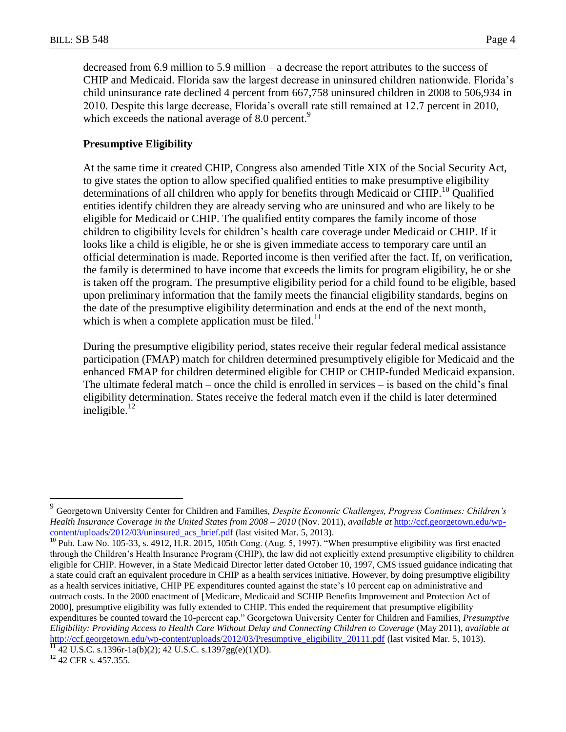decreased from 6.9 million to 5.9 million – a decrease the report attributes to the success of CHIP and Medicaid. Florida saw the largest decrease in uninsured children nationwide. Florida's child uninsurance rate declined 4 percent from 667,758 uninsured children in 2008 to 506,934 in 2010. Despite this large decrease, Florida's overall rate still remained at 12.7 percent in 2010, which exceeds the national average of 8.0 percent.<sup>9</sup>

#### **Presumptive Eligibility**

At the same time it created CHIP, Congress also amended Title XIX of the Social Security Act, to give states the option to allow specified qualified entities to make presumptive eligibility determinations of all children who apply for benefits through Medicaid or CHIP.<sup>10</sup> Qualified entities identify children they are already serving who are uninsured and who are likely to be eligible for Medicaid or CHIP. The qualified entity compares the family income of those children to eligibility levels for children's health care coverage under Medicaid or CHIP. If it looks like a child is eligible, he or she is given immediate access to temporary care until an official determination is made. Reported income is then verified after the fact. If, on verification, the family is determined to have income that exceeds the limits for program eligibility, he or she is taken off the program. The presumptive eligibility period for a child found to be eligible, based upon preliminary information that the family meets the financial eligibility standards, begins on the date of the presumptive eligibility determination and ends at the end of the next month, which is when a complete application must be filed.<sup>11</sup>

During the presumptive eligibility period, states receive their regular federal medical assistance participation (FMAP) match for children determined presumptively eligible for Medicaid and the enhanced FMAP for children determined eligible for CHIP or CHIP-funded Medicaid expansion. The ultimate federal match – once the child is enrolled in services – is based on the child's final eligibility determination. States receive the federal match even if the child is later determined ineligible. $^{12}$ 

 9 Georgetown University Center for Children and Families, *Despite Economic Challenges, Progress Continues: Children's Health Insurance Coverage in the United States from 2008 – 2010* (Nov. 2011), *available at* [http://ccf.georgetown.edu/wp](http://ccf.georgetown.edu/wp-content/uploads/2012/03/uninsured_acs_brief.pdf)[content/uploads/2012/03/uninsured\\_acs\\_brief.pdf](http://ccf.georgetown.edu/wp-content/uploads/2012/03/uninsured_acs_brief.pdf) (last visited Mar. 5, 2013).

 $10$  Pub. Law No. 105-33, s. 4912, H.R. 2015, 105th Cong. (Aug. 5, 1997). "When presumptive eligibility was first enacted through the Children's Health Insurance Program (CHIP), the law did not explicitly extend presumptive eligibility to children eligible for CHIP. However, in a State Medicaid Director letter dated October 10, 1997, CMS issued guidance indicating that a state could craft an equivalent procedure in CHIP as a health services initiative. However, by doing presumptive eligibility as a health services initiative, CHIP PE expenditures counted against the state's 10 percent cap on administrative and outreach costs. In the 2000 enactment of [Medicare, Medicaid and SCHIP Benefits Improvement and Protection Act of 2000], presumptive eligibility was fully extended to CHIP. This ended the requirement that presumptive eligibility expenditures be counted toward the 10-percent cap." Georgetown University Center for Children and Families, *Presumptive Eligibility: Providing Access to Health Care Without Delay and Connecting Children to Coverage* (May 2011), *available at*  [http://ccf.georgetown.edu/wp-content/uploads/2012/03/Presumptive\\_eligibility\\_20111.pdf](http://ccf.georgetown.edu/wp-content/uploads/2012/03/Presumptive_eligibility_20111.pdf) (last visited Mar. 5, 1013).

 $\frac{11}{11}$  42 U.S.C. s.1396r-1a(b)(2); 42 U.S.C. s.1397gg(e)(1)(D).

<sup>&</sup>lt;sup>12</sup> 42 CFR s. 457.355.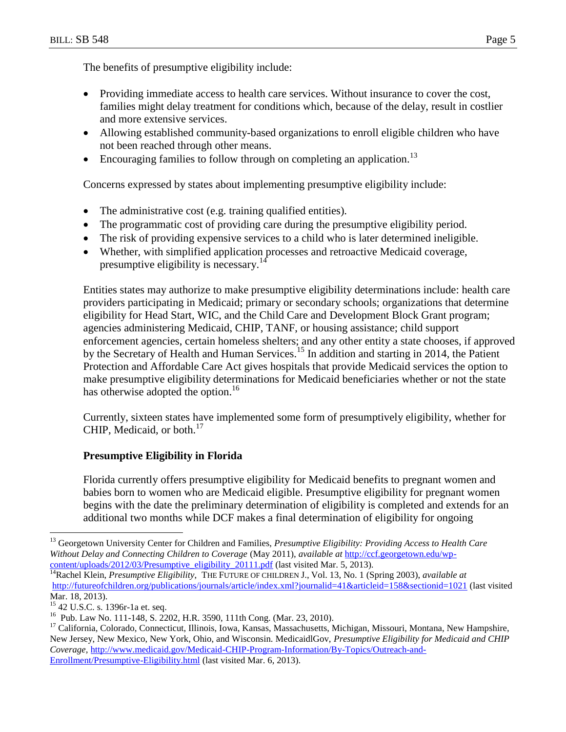The benefits of presumptive eligibility include:

- Providing immediate access to health care services. Without insurance to cover the cost, families might delay treatment for conditions which, because of the delay, result in costlier and more extensive services.
- Allowing established community-based organizations to enroll eligible children who have not been reached through other means.
- Encouraging families to follow through on completing an application.<sup>13</sup>

Concerns expressed by states about implementing presumptive eligibility include:

- The administrative cost (e.g. training qualified entities).
- The programmatic cost of providing care during the presumptive eligibility period.
- The risk of providing expensive services to a child who is later determined ineligible.
- Whether, with simplified application processes and retroactive Medicaid coverage, presumptive eligibility is necessary.<sup>1</sup>

Entities states may authorize to make presumptive eligibility determinations include: health care providers participating in Medicaid; primary or secondary schools; organizations that determine eligibility for Head Start, WIC, and the Child Care and Development Block Grant program; agencies administering Medicaid, CHIP, TANF, or housing assistance; child support enforcement agencies, certain homeless shelters; and any other entity a state chooses, if approved by the Secretary of Health and Human Services.<sup>15</sup> In addition and starting in 2014, the Patient Protection and Affordable Care Act gives hospitals that provide Medicaid services the option to make presumptive eligibility determinations for Medicaid beneficiaries whether or not the state has otherwise adopted the option.<sup>16</sup>

Currently, sixteen states have implemented some form of presumptively eligibility, whether for CHIP, Medicaid, or both. $^{17}$ 

## **Presumptive Eligibility in Florida**

Florida currently offers presumptive eligibility for Medicaid benefits to pregnant women and babies born to women who are Medicaid eligible. Presumptive eligibility for pregnant women begins with the date the preliminary determination of eligibility is completed and extends for an additional two months while DCF makes a final determination of eligibility for ongoing

 $\overline{a}$ 

<sup>&</sup>lt;sup>13</sup> Georgetown University Center for Children and Families, *Presumptive Eligibility: Providing Access to Health Care Without Delay and Connecting Children to Coverage* (May 2011), *available at* [http://ccf.georgetown.edu/wp](http://ccf.georgetown.edu/wp-content/uploads/2012/03/Presumptive_eligibility_20111.pdf)[content/uploads/2012/03/Presumptive\\_eligibility\\_20111.pdf](http://ccf.georgetown.edu/wp-content/uploads/2012/03/Presumptive_eligibility_20111.pdf) (last visited Mar. 5, 2013).

<sup>&</sup>lt;sup>14</sup>Rachel Klein, *Presumptive Eligibility*, THE FUTURE OF CHILDREN J., Vol. 13, No. 1 (Spring 2003), *available at* [http://futureofchildren.org/publications/journals/article/index.xml?journalid=41&articleid=158&sectionid=1021](http://futureofchildren.org/publications/journals/article/index.xml?journalid=41&articleid=158§ionid=1021) (last visited Mar. 18, 2013).

<sup>15</sup> 42 U.S.C. s. 1396r-1a et. seq.

<sup>16</sup> Pub. Law No. 111-148, S. 2202, H.R. 3590, 111th Cong. (Mar. 23, 2010).

<sup>&</sup>lt;sup>17</sup> California, Colorado, Connecticut, Illinois, Iowa, Kansas, Massachusetts, Michigan, Missouri, Montana, New Hampshire, New Jersey, New Mexico, New York, Ohio, and Wisconsin. MedicaidlGov, *Presumptive Eligibility for Medicaid and CHIP Coverage,* [http://www.medicaid.gov/Medicaid-CHIP-Program-Information/By-Topics/Outreach-and-](http://www.medicaid.gov/Medicaid-CHIP-Program-Information/By-Topics/Outreach-and-Enrollment/Presumptive-Eligibility.html)[Enrollment/Presumptive-Eligibility.html](http://www.medicaid.gov/Medicaid-CHIP-Program-Information/By-Topics/Outreach-and-Enrollment/Presumptive-Eligibility.html) (last visited Mar. 6, 2013).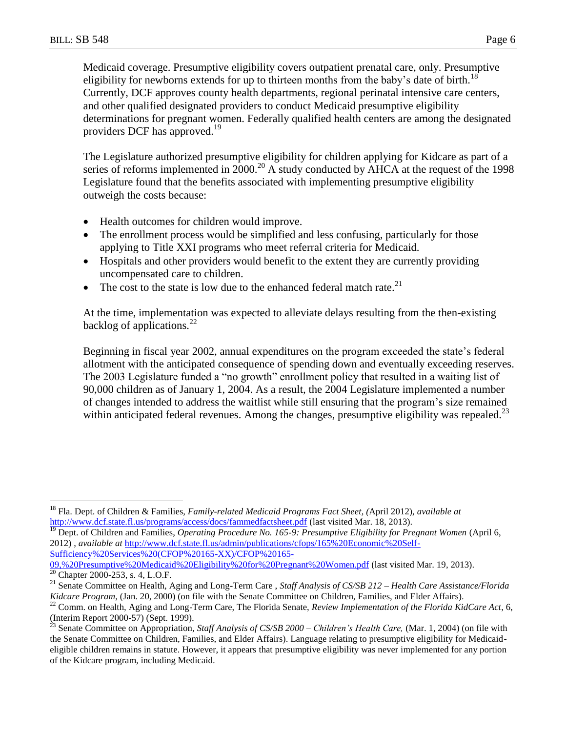$\overline{a}$ 

Medicaid coverage. Presumptive eligibility covers outpatient prenatal care, only. Presumptive eligibility for newborns extends for up to thirteen months from the baby's date of birth.<sup>18</sup> Currently, DCF approves county health departments, regional perinatal intensive care centers, and other qualified designated providers to conduct Medicaid presumptive eligibility determinations for pregnant women. Federally qualified health centers are among the designated providers DCF has approved. 19

The Legislature authorized presumptive eligibility for children applying for Kidcare as part of a series of reforms implemented in 2000.<sup>20</sup> A study conducted by AHCA at the request of the 1998 Legislature found that the benefits associated with implementing presumptive eligibility outweigh the costs because:

- Health outcomes for children would improve.
- The enrollment process would be simplified and less confusing, particularly for those applying to Title XXI programs who meet referral criteria for Medicaid.
- Hospitals and other providers would benefit to the extent they are currently providing uncompensated care to children.
- The cost to the state is low due to the enhanced federal match rate.<sup>21</sup>

At the time, implementation was expected to alleviate delays resulting from the then-existing backlog of applications.<sup>22</sup>

Beginning in fiscal year 2002, annual expenditures on the program exceeded the state's federal allotment with the anticipated consequence of spending down and eventually exceeding reserves. The 2003 Legislature funded a "no growth" enrollment policy that resulted in a waiting list of 90,000 children as of January 1, 2004. As a result, the 2004 Legislature implemented a number of changes intended to address the waitlist while still ensuring that the program's size remained within anticipated federal revenues. Among the changes, presumptive eligibility was repealed.<sup>23</sup>

<sup>18</sup> Fla. Dept. of Children & Families, *Family-related Medicaid Programs Fact Sheet, (*April 2012), *available at* <http://www.dcf.state.fl.us/programs/access/docs/fammedfactsheet.pdf> (last visited Mar. 18, 2013).

<sup>&</sup>lt;sup>19</sup> Dept. of Children and Families, *Operating Procedure No. 165-9: Presumptive Eligibility for Pregnant Women* (April 6, 2012) , *available at* [http://www.dcf.state.fl.us/admin/publications/cfops/165%20Economic%20Self-](http://www.dcf.state.fl.us/admin/publications/cfops/165%20Economic%20Self-Sufficiency%20Services%20(CFOP%20165-XX)/CFOP%20165-09,%20Presumptive%20Medicaid%20Eligibility%20for%20Pregnant%20Women.pdf)[Sufficiency%20Services%20\(CFOP%20165-XX\)/CFOP%20165-](http://www.dcf.state.fl.us/admin/publications/cfops/165%20Economic%20Self-Sufficiency%20Services%20(CFOP%20165-XX)/CFOP%20165-09,%20Presumptive%20Medicaid%20Eligibility%20for%20Pregnant%20Women.pdf)

[<sup>09,%20</sup>Presumptive%20Medicaid%20Eligibility%20for%20Pregnant%20Women.pdf](http://www.dcf.state.fl.us/admin/publications/cfops/165%20Economic%20Self-Sufficiency%20Services%20(CFOP%20165-XX)/CFOP%20165-09,%20Presumptive%20Medicaid%20Eligibility%20for%20Pregnant%20Women.pdf) (last visited Mar. 19, 2013).  $2000-253$ , s. 4, L.O.F.

<sup>21</sup> Senate Committee on Health, Aging and Long-Term Care , *Staff Analysis of CS/SB 212 – Health Care Assistance/Florida Kidcare Program*, (Jan. 20, 2000) (on file with the Senate Committee on Children, Families, and Elder Affairs).

<sup>&</sup>lt;sup>22</sup> Comm. on Health, Aging and Long-Term Care, The Florida Senate, Review Implementation of the Florida KidCare Act, 6, (Interim Report 2000-57) (Sept. 1999).

<sup>23</sup> Senate Committee on Appropriation, *Staff Analysis of CS/SB 2000 – Children's Health Care,* (Mar. 1, 2004) (on file with the Senate Committee on Children, Families, and Elder Affairs). Language relating to presumptive eligibility for Medicaideligible children remains in statute. However, it appears that presumptive eligibility was never implemented for any portion of the Kidcare program, including Medicaid.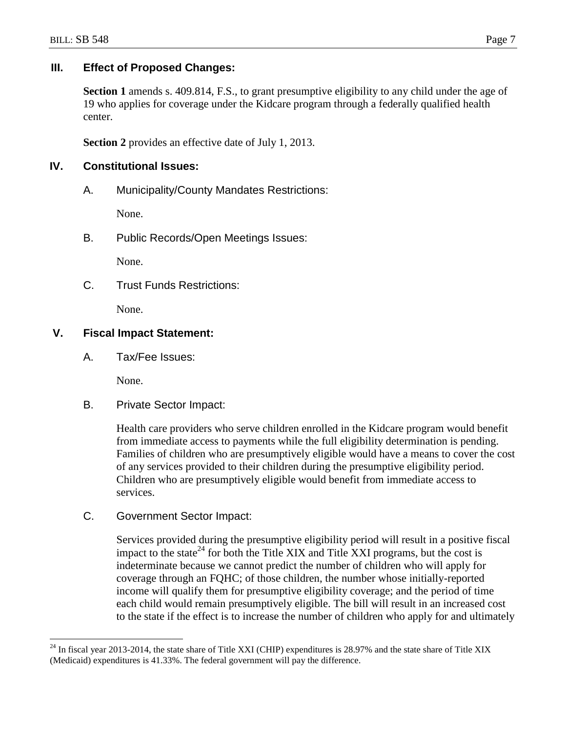## **III. Effect of Proposed Changes:**

**Section 1** amends s. 409.814, F.S., to grant presumptive eligibility to any child under the age of 19 who applies for coverage under the Kidcare program through a federally qualified health center.

**Section 2** provides an effective date of July 1, 2013.

## **IV. Constitutional Issues:**

A. Municipality/County Mandates Restrictions:

None.

B. Public Records/Open Meetings Issues:

None.

C. Trust Funds Restrictions:

None.

# **V. Fiscal Impact Statement:**

A. Tax/Fee Issues:

None.

 $\overline{a}$ 

B. Private Sector Impact:

Health care providers who serve children enrolled in the Kidcare program would benefit from immediate access to payments while the full eligibility determination is pending. Families of children who are presumptively eligible would have a means to cover the cost of any services provided to their children during the presumptive eligibility period. Children who are presumptively eligible would benefit from immediate access to services.

C. Government Sector Impact:

Services provided during the presumptive eligibility period will result in a positive fiscal impact to the state<sup>24</sup> for both the Title XIX and Title XXI programs, but the cost is indeterminate because we cannot predict the number of children who will apply for coverage through an FQHC; of those children, the number whose initially-reported income will qualify them for presumptive eligibility coverage; and the period of time each child would remain presumptively eligible. The bill will result in an increased cost to the state if the effect is to increase the number of children who apply for and ultimately

 $^{24}$  In fiscal year 2013-2014, the state share of Title XXI (CHIP) expenditures is 28.97% and the state share of Title XIX (Medicaid) expenditures is 41.33%. The federal government will pay the difference.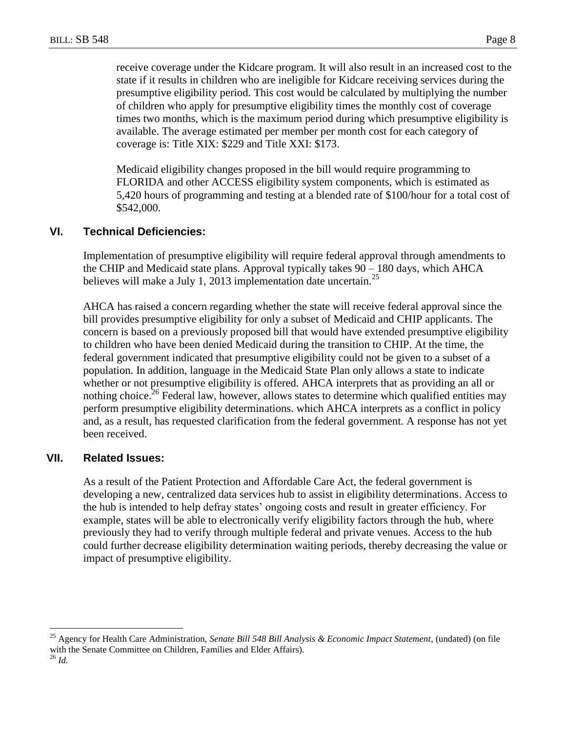receive coverage under the Kidcare program. It will also result in an increased cost to the state if it results in children who are ineligible for Kidcare receiving services during the presumptive eligibility period. This cost would be calculated by multiplying the number of children who apply for presumptive eligibility times the monthly cost of coverage times two months, which is the maximum period during which presumptive eligibility is available. The average estimated per member per month cost for each category of coverage is: Title XIX: \$229 and Title XXI: \$173.

Medicaid eligibility changes proposed in the bill would require programming to FLORIDA and other ACCESS eligibility system components, which is estimated as 5,420 hours of programming and testing at a blended rate of \$100/hour for a total cost of \$542,000.

## **VI. Technical Deficiencies:**

Implementation of presumptive eligibility will require federal approval through amendments to the CHIP and Medicaid state plans. Approval typically takes 90 – 180 days, which AHCA believes will make a July 1, 2013 implementation date uncertain.<sup>25</sup>

AHCA has raised a concern regarding whether the state will receive federal approval since the bill provides presumptive eligibility for only a subset of Medicaid and CHIP applicants. The concern is based on a previously proposed bill that would have extended presumptive eligibility to children who have been denied Medicaid during the transition to CHIP. At the time, the federal government indicated that presumptive eligibility could not be given to a subset of a population. In addition, language in the Medicaid State Plan only allows a state to indicate whether or not presumptive eligibility is offered. AHCA interprets that as providing an all or nothing choice.<sup>26</sup> Federal law, however, allows states to determine which qualified entities may perform presumptive eligibility determinations. which AHCA interprets as a conflict in policy and, as a result, has requested clarification from the federal government. A response has not yet been received.

## **VII. Related Issues:**

As a result of the Patient Protection and Affordable Care Act, the federal government is developing a new, centralized data services hub to assist in eligibility determinations. Access to the hub is intended to help defray states' ongoing costs and result in greater efficiency. For example, states will be able to electronically verify eligibility factors through the hub, where previously they had to verify through multiple federal and private venues. Access to the hub could further decrease eligibility determination waiting periods, thereby decreasing the value or impact of presumptive eligibility.

 $\overline{a}$ 

<sup>25</sup> Agency for Health Care Administration, *Senate Bill 548 Bill Analysis & Economic Impact Statement*, (undated) (on file with the Senate Committee on Children, Families and Elder Affairs).

<sup>26</sup> *Id.*